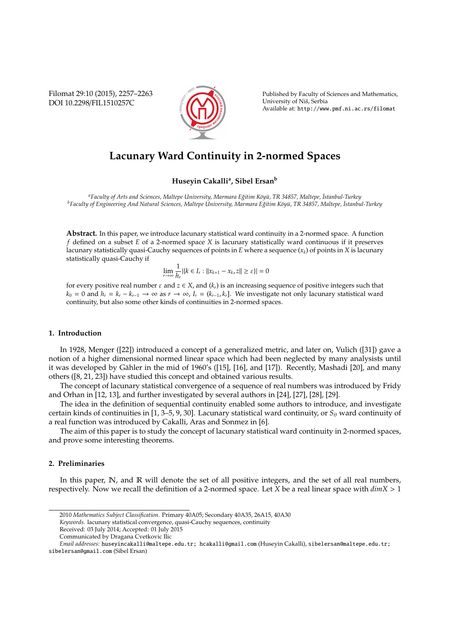Filomat 29:10 (2015), 2257–2263 DOI 10.2298/FIL1510257C



Published by Faculty of Sciences and Mathematics, University of Niš, Serbia Available at: http://www.pmf.ni.ac.rs/filomat

# **Lacunary Ward Continuity in 2-normed Spaces**

# **Huseyin Cakalli<sup>a</sup> , Sibel Ersan<sup>b</sup>**

*<sup>a</sup>Faculty of Arts and Sciences, Maltepe University, Marmara E˘gitim K¨oy ¨u, TR 34857, Maltepe, ˙Istanbul-Turkey <sup>b</sup>Faculty of Engineering And Natural Sciences, Maltepe University, Marmara E˘gitim K¨oy ¨u, TR 34857, Maltepe, ˙Istanbul-Turkey*

**Abstract.** In this paper, we introduce lacunary statistical ward continuity in a 2-normed space. A function *f* defined on a subset *E* of a 2-normed space *X* is lacunary statistically ward continuous if it preserves lacunary statistically quasi-Cauchy sequences of points in *E* where a sequence (*xk*) of points in *X* is lacunary statistically quasi-Cauchy if

$$
\lim_{r \to \infty} \frac{1}{h_r} |\{k \in I_r : ||x_{k+1} - x_k, z|| \ge \varepsilon\}| = 0
$$

for every positive real number  $\varepsilon$  and  $z \in X$ , and  $(k_r)$  is an increasing sequence of positive integers such that  $k_0 = 0$  and  $h_r = k_r - k_{r-1} \rightarrow \infty$  as  $r \rightarrow \infty$ ,  $I_r = (k_{r-1}, k_r]$ . We investigate not only lacunary statistical ward continuity, but also some other kinds of continuities in 2-normed spaces.

### **1. Introduction**

In 1928, Menger ([22]) introduced a concept of a generalized metric, and later on, Vulich ([31]) gave a notion of a higher dimensional normed linear space which had been neglected by many analysists until it was developed by Gähler in the mid of 1960's ([15], [16], and [17]). Recently, Mashadi [20], and many others ([8, 21, 23]) have studied this concept and obtained various results.

The concept of lacunary statistical convergence of a sequence of real numbers was introduced by Fridy and Orhan in [12, 13], and further investigated by several authors in [24], [27], [28], [29].

The idea in the definition of sequential continuity enabled some authors to introduce, and investigate certain kinds of continuities in [1, 3–5, 9, 30]. Lacunary statistical ward continuity, or  $S_\theta$  ward continuity of a real function was introduced by Cakalli, Aras and Sonmez in [6].

The aim of this paper is to study the concept of lacunary statistical ward continuity in 2-normed spaces, and prove some interesting theorems.

# **2. Preliminaries**

In this paper, N, and R will denote the set of all positive integers, and the set of all real numbers, respectively. Now we recall the definition of a 2-normed space. Let *X* be a real linear space with *dimX* > 1

Received: 03 July 2014; Accepted: 01 July 2015

<sup>2010</sup> *Mathematics Subject Classification*. Primary 40A05; Secondary 40A35, 26A15, 40A30

*Keywords*. lacunary statistical convergence, quasi-Cauchy sequences, continuity

Communicated by Dragana Cvetkovic Ilic

*Email addresses:* huseyincakalli@maltepe.edu.tr; hcakalli@gmail.com (Huseyin Cakalli), sibelersan@maltepe.edu.tr; sibelersan@gmail.com (Sibel Ersan)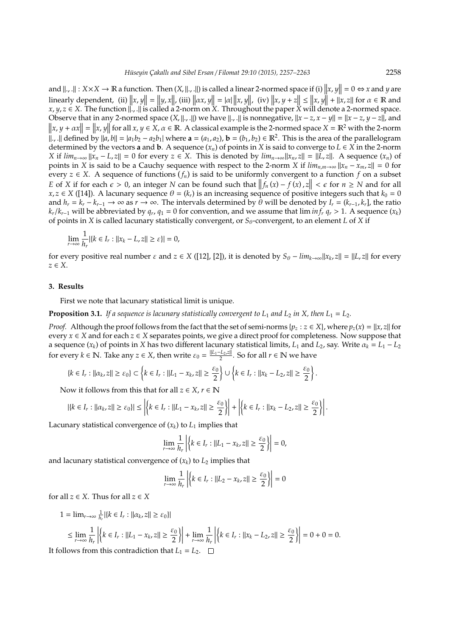and  $||.,||: X \times X \to \mathbb{R}$  a function. Then  $(X, ||., ||)$  is called a linear 2-normed space if (i)  $||x, y|| = 0 \Leftrightarrow x$  and *y* are linearly dependent, (ii)  $||x, y|| = ||y, x||$ , (iii)  $||\alpha x, y|| = |\alpha| ||x, y||$ , (iv)  $||x, y + z|| \le ||x, y|| + ||x, z||$  for  $\alpha \in \mathbb{R}$  and *x*, *y*, *z* ∈ *X*. The function  $\|$ ,  $\|$  is called a 2-norm on *X*. Throughout the paper *X* will denote a 2-normed space. Observe that in any 2-normed space  $(X, \| \cdot, \|)$  we have  $\| \cdot, \|$  is nonnegative,  $\|x - z, x - y\| = \|x - z, y - z\|$ , and  $\|x, y + \alpha x\| = \|x, y\|$  for all  $x, y \in \overline{X}$ ,  $\alpha \in \mathbb{R}$ . A classical example is the 2-normed space  $X = \mathbb{R}^2$  with the 2-norm  $\|\cdot$ ,  $\|$  defined by  $\|a, b\| = |a_1b_2 - a_2b_1|$  where  $\mathbf{a} = (a_1, a_2)$ ,  $\mathbf{b} = (b_1, b_2) \in \mathbb{R}^2$ . This is the area of the parallelogram determined by the vectors **a** and **b**. A sequence  $(x_n)$  of points in *X* is said to converge to  $L \in X$  in the 2-norm X if  $\lim_{n\to\infty} ||x_n - L_z|| = 0$  for every  $z \in X$ . This is denoted by  $\lim_{n\to\infty} ||x_n - z|| = ||L_z||$ . A sequence  $(x_n)$  of points in *X* is said to be a Cauchy sequence with respect to the 2-norm *X* if  $\lim_{n,m\to\infty} ||x_n - x_m z|| = 0$  for every  $z \in X$ . A sequence of functions  $(f_n)$  is said to be uniformly convergent to a function  $f$  on a subset *E* of *X* if for each  $\epsilon > 0$ , an integer *N* can be found such that  $||f_n(x) - f(x), z|| < \epsilon$  for  $n \ge N$  and for all  $x \in X$  (141). A la supermaneous  $\theta$ , (*k*) is an increasing as more of positive integers such that  $k \ge 0$  $x, z \in X$  ([14]). A lacunary sequence  $\theta = (k_r)$  is an increasing sequence of positive integers such that  $k_0 = 0$ and  $h_r = k_r - k_{r-1} \to \infty$  as  $r \to \infty$ . The intervals determined by  $\theta$  will be denoted by  $I_r = (k_{r-1}, k_r]$ , the ratio  $k_r/k_{r-1}$  will be abbreviated by  $q_r$ ,  $q_1 = 0$  for convention, and we assume that lim  $inf_r q_r > 1$ . A sequence ( $x_k$ ) of points in *X* is called lacunary statistically convergent, or  $S_{\theta}$ -convergent, to an element *L* of *X* if

$$
\lim_{r \to \infty} \frac{1}{h_r} |\{k \in I_r : ||x_k - L, z|| \ge \varepsilon\}| = 0,
$$

for every positive real number  $\varepsilon$  and  $z \in X$  ([12], [2]), it is denoted by  $S_{\theta} - \lim_{k \to \infty} ||x_k, z|| = ||L, z||$  for every *z* ∈ *X*.

## **3. Results**

First we note that lacunary statistical limit is unique.

**Proposition 3.1.** If a sequence is lacunary statistically convergent to  $L_1$  and  $L_2$  in X, then  $L_1 = L_2$ .

*Proof.* Although the proof follows from the fact that the set of semi-norms  $\{p_z : z \in X\}$ , where  $p_z(x) = ||x, z||$  for every *x* ∈ *X* and for each *z* ∈ *X* separates points, we give a direct proof for completeness. Now suppose that a sequence  $(x_k)$  of points in *X* has two different lacunary statistical limits,  $L_1$  and  $L_2$ , say. Write  $\alpha_k = L_1 - L_2$ for every  $k \in \mathbb{N}$ . Take any  $z \in X$ , then write  $\varepsilon_0 = \frac{\|L_1 - L_2 z\|}{2}$ . So for all  $r \in \mathbb{N}$  we have

$$
\{k\in I_r:\|\alpha_k,z\|\geq \varepsilon_0\}\subset\left\{k\in I_r:\|L_1-x_k,z\|\geq \frac{\varepsilon_0}{2}\right\}\cup\left\{k\in I_r:\|x_k-L_2,z\|\geq \frac{\varepsilon_0}{2}\right\}.
$$

Now it follows from this that for all  $z \in X$ ,  $r \in \mathbb{N}$ 

$$
|\{k \in I_r : ||\alpha_k, z|| \ge \varepsilon_0\}| \le \left| \left\{ k \in I_r : ||L_1 - x_k, z|| \ge \frac{\varepsilon_0}{2} \right\} \right| + \left| \left\{ k \in I_r : ||x_k - L_2, z|| \ge \frac{\varepsilon_0}{2} \right\} \right|.
$$

Lacunary statistical convergence of  $(x_k)$  to  $L_1$  implies that

$$
\lim_{r \to \infty} \frac{1}{h_r} \left| \left\{ k \in I_r : ||L_1 - x_k z|| \ge \frac{\varepsilon_0}{2} \right\} \right| = 0,
$$

and lacunary statistical convergence of  $(x_k)$  to  $L_2$  implies that

$$
\lim_{r \to \infty} \frac{1}{h_r} \left| \left\{ k \in I_r : ||L_2 - x_k, z|| \ge \frac{\varepsilon_0}{2} \right\} \right| = 0
$$

for all  $z \in X$ . Thus for all  $z \in X$ 

1 =  $\lim_{r \to \infty} \frac{1}{h_r} |\{k \in I_r : ||\alpha_k, z|| \ge \varepsilon_0\}|$ 

$$
\leq \lim_{r \to \infty} \frac{1}{h_r} \left| \left\{ k \in I_r : ||L_1 - x_k, z|| \geq \frac{\varepsilon_0}{2} \right\} \right| + \lim_{r \to \infty} \frac{1}{h_r} \left| \left\{ k \in I_r : ||x_k - L_2, z|| \geq \frac{\varepsilon_0}{2} \right\} \right| = 0 + 0 = 0.
$$

It follows from this contradiction that  $L_1 = L_2$ .  $\Box$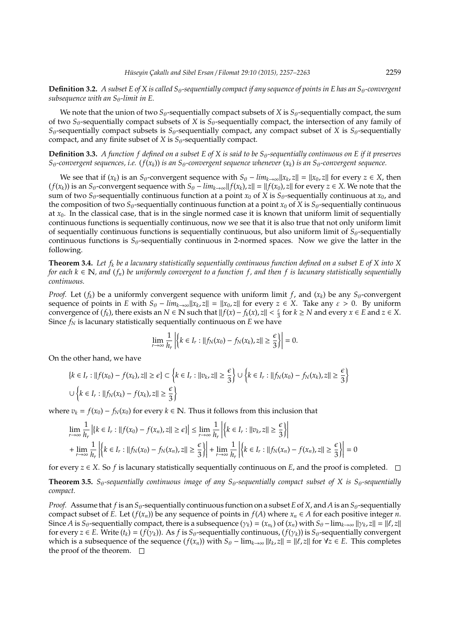**Definition 3.2.** *A subset E of X is called S<sub>θ</sub>-sequentially compact if any sequence of points in E has an S<sub>θ</sub>-convergent subsequence with an S*θ-limit in E.

We note that the union of two  $S_{\theta}$ -sequentially compact subsets of *X* is  $S_{\theta}$ -sequentially compact, the sum of two *S*θ-sequentially compact subsets of *X* is *S*θ-sequentially compact, the intersection of any family of  $S_{\theta}$ -sequentially compact subsets is  $S_{\theta}$ -sequentially compact, any compact subset of *X* is  $S_{\theta}$ -sequentially compact, and any finite subset of *X* is  $S_{\theta}$ -sequentially compact.

**Definition 3.3.** *A function f defined on a subset E of X is said to be*  $S_\theta$ -sequentially continuous on E if it preserves  $S_{\theta}$ -convergent sequences, i.e. ( $f(x_k)$ ) is an  $S_{\theta}$ -convergent sequence whenever  $(x_k)$  is an  $S_{\theta}$ -convergent sequence.

We see that if  $(x_k)$  is an  $S_\theta$ -convergent sequence with  $S_\theta - \lim_{k\to\infty} ||x_k, z|| = ||x_0, z||$  for every  $z \in X$ , then  $(f(x_k))$  is an  $S_\theta$ -convergent sequence with  $S_\theta$  –  $\lim_{k\to\infty}$   $||f(x_k), z|| = ||f(x_0), z||$  for every  $z \in X$ . We note that the sum of two  $S_\theta$ -sequentially continuous function at a point  $x_0$  of *X* is  $S_\theta$ -sequentially continuous at  $x_0$ , and the composition of two  $S_{\theta}$ -sequentially continuous function at a point  $x_0$  of *X* is  $S_{\theta}$ -sequentially continuous at  $x_0$ . In the classical case, that is in the single normed case it is known that uniform limit of sequentially continuous functions is sequentially continuous, now we see that it is also true that not only uniform limit of sequentially continuous functions is sequentially continuous, but also uniform limit of  $S_{\theta}$ -sequentially continuous functions is  $S_{\theta}$ -sequentially continuous in 2-normed spaces. Now we give the latter in the following.

**Theorem 3.4.** *Let f<sup>k</sup> be a lacunary statistically sequentially continuous function defined on a subset E of X into X for each*  $k \in \mathbb{N}$ , and  $(f_n)$  be uniformly convergent to a function f, and then f is lacunary statistically sequentially *continuous.*

*Proof.* Let  $(f_k)$  be a uniformly convergent sequence with uniform limit f, and  $(x_k)$  be any  $S_\theta$ -convergent sequence of points in *E* with  $S_\theta - \lim_{k\to\infty} ||x_k, z|| = ||x_0, z||$  for every  $z \in X$ . Take any  $\varepsilon > 0$ . By uniform convergence of  $(f_k)$ , there exists an  $N \in \mathbb{N}$  such that  $||f(x) - f_k(x), z|| < \frac{\varepsilon}{3}$  for  $k \ge N$  and every  $x \in E$  and  $z \in X$ . Since  $f_N$  is lacunary statistically sequentially continuous on  $E$  we have

$$
\lim_{r\to\infty}\frac{1}{h_r}\left|\left\{k\in I_r:||f_N(x_0)-f_N(x_k),z||\geq\frac{\epsilon}{3}\right\}\right|=0.
$$

On the other hand, we have

$$
\{k \in I_r : ||f(x_0) - f(x_k), z|| \ge \epsilon\} \subset \left\{k \in I_r : ||v_k, z|| \ge \frac{\epsilon}{3}\right\} \cup \left\{k \in I_r : ||f_N(x_0) - f_N(x_k), z|| \ge \frac{\epsilon}{3}\right\}
$$
  

$$
\cup \left\{k \in I_r : ||f_N(x_k) - f(x_k), z|| \ge \frac{\epsilon}{3}\right\}
$$

where  $v_k = f(x_0) - f_N(x_0)$  for every  $k \in \mathbb{N}$ . Thus it follows from this inclusion that

$$
\lim_{r \to \infty} \frac{1}{h_r} \left| \{ k \in I_r : \| f(x_0) - f(x_n), z \| \ge \epsilon \} \right| \le \lim_{r \to \infty} \frac{1}{h_r} \left| \{ k \in I_r : \| v_k, z \| \ge \frac{\epsilon}{3} \} \right|
$$
\n
$$
+ \lim_{r \to \infty} \frac{1}{h_r} \left| \{ k \in I_r : \| f_N(x_0) - f_N(x_n), z \| \ge \frac{\epsilon}{3} \} \right| + \lim_{r \to \infty} \frac{1}{h_r} \left| \{ k \in I_r : \| f_N(x_n) - f(x_n), z \| \ge \frac{\epsilon}{3} \} \right| = 0
$$

for every  $z \in X$ . So *f* is lacunary statistically sequentially continuous on *E*, and the proof is completed.  $\square$ 

**Theorem 3.5.** *S*<sub> $\theta$ </sub>-sequentially continuous image of any S<sub> $\theta$ </sub>-sequentially compact subset of X is S<sub> $\theta$ </sub>-sequentially *compact.*

*Proof.* Assume that *f* is an  $S_\theta$ -sequentially continuous function on a subset *E* of *X*, and *A* is an  $S_\theta$ -sequentially compact subset of *E*. Let  $(f(x_n))$  be any sequence of points in  $f(A)$  where  $x_n \in A$  for each positive integer *n*. Since *A* is  $S_\theta$ -sequentially compact, there is a subsequence  $(\gamma_k) = (x_{n_k})$  of  $(x_n)$  with  $S_\theta - \lim_{k \to \infty} ||\gamma_k z|| = ||\ell, z||$ for every  $z \in E$ . Write  $(t_k) = (f(\gamma_k))$ . As *f* is  $S_\theta$ -sequentially continuous,  $(f(\gamma_k))$  is  $S_\theta$ -sequentially convergent which is a subsequence of the sequence  $(f(x_n))$  with  $S_\theta$  –  $\lim_{k\to\infty} ||t_k, z|| = ||\ell, z||$  for  $\forall z \in E$ . This completes the proof of the theorem.  $\square$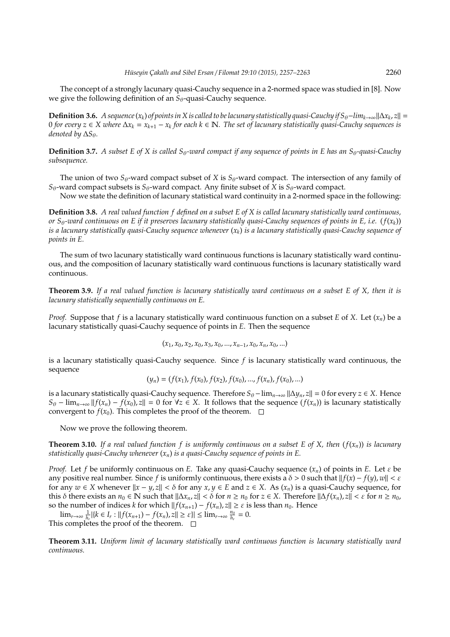The concept of a strongly lacunary quasi-Cauchy sequence in a 2-normed space was studied in [8]. Now we give the following definition of an *S*<sub>θ</sub>-quasi-Cauchy sequence.

**Definition 3.6.** *A sequence* (*x*<sub>*k*</sub>) of points in X is called to be lacunary statistically quasi-Cauchy if S<sub>θ</sub>−lim<sub>k→∞</sub>||∆*x*<sub>k</sub>, z|| = 0 *for every z* ∈ *X where* ∆*x<sup>k</sup>* = *x<sup>k</sup>*+<sup>1</sup> − *x<sup>k</sup> for each k* ∈ N*. The set of lacunary statistically quasi-Cauchy sequences is denoted by*  $\Delta S_{\theta}$ *.* 

**Definition 3.7.** *A subset E of X is called S<sub>θ</sub>-ward compact if any sequence of points in E has an S<sub>θ</sub>-quasi-Cauchy subsequence.*

The union of two  $S_{\theta}$ -ward compact subset of *X* is  $S_{\theta}$ -ward compact. The intersection of any family of  $S_{\theta}$ -ward compact subsets is  $S_{\theta}$ -ward compact. Any finite subset of *X* is  $S_{\theta}$ -ward compact.

Now we state the definition of lacunary statistical ward continuity in a 2-normed space in the following:

**Definition 3.8.** *A real valued function f defined on a subset E of X is called lacunary statistically ward continuous, or*  $S_\theta$ -ward continuous on E if it preserves lacunary statistically quasi-Cauchy sequences of points in E, i.e. ( $f(x_k)$ ) *is a lacunary statistically quasi-Cauchy sequence whenever* (*xk*) *is a lacunary statistically quasi-Cauchy sequence of points in E.*

The sum of two lacunary statistically ward continuous functions is lacunary statistically ward continuous, and the composition of lacunary statistically ward continuous functions is lacunary statistically ward continuous.

**Theorem 3.9.** *If a real valued function is lacunary statistically ward continuous on a subset E of X, then it is lacunary statistically sequentially continuous on E.*

*Proof.* Suppose that *f* is a lacunary statistically ward continuous function on a subset *E* of *X*. Let (*xn*) be a lacunary statistically quasi-Cauchy sequence of points in *E*. Then the sequence

$$
(x_1, x_0, x_2, x_0, x_3, x_0, ..., x_{n-1}, x_0, x_n, x_0, ...)
$$

is a lacunary statistically quasi-Cauchy sequence. Since *f* is lacunary statistically ward continuous, the sequence

$$
(y_n) = (f(x_1), f(x_0), f(x_2), f(x_0), ..., f(x_n), f(x_0), ...)
$$

is a lacunary statistically quasi-Cauchy sequence. Therefore  $S_\theta$  –  $\lim_{n\to\infty} ||\Delta y_n, z|| = 0$  for every  $z \in X$ . Hence  $S_{\theta}$  −  $\lim_{n\to\infty}$   $||f(x_n) - f(x_0), z|| = 0$  for  $\forall z \in X$ . It follows that the sequence  $(f(x_n))$  is lacunary statistically convergent to  $f(x_0)$ . This completes the proof of the theorem.  $\Box$ 

Now we prove the following theorem.

**Theorem 3.10.** If a real valued function f is uniformly continuous on a subset E of X, then  $(f(x_n))$  is lacunary *statistically quasi-Cauchy whenever* (*xn*) *is a quasi-Cauchy sequence of points in E.*

*Proof.* Let *f* be uniformly continuous on *E*. Take any quasi-Cauchy sequence (*xn*) of points in *E*. Let ε be any positive real number. Since *f* is uniformly continuous, there exists a  $\delta > 0$  such that  $|| f(x) - f(y)$ ,  $w|| < \varepsilon$ for any  $w \in X$  whenever  $||x - y_z|| < \delta$  for any  $x, y \in E$  and  $z \in X$ . As  $(x_n)$  is a quasi-Cauchy sequence, for this δ there exists an *n*<sub>0</sub> ∈ **N** such that  $||\Delta x_n$ , *z*|| < δ for *n* ≥ *n*<sub>0</sub> for *z* ∈ *X*. Therefore  $||\Delta f(x_n)$ , *z*|| < ε for *n* ≥ *n*<sub>0</sub>, so the number of indices *k* for which  $|| f(x_{n+1}) - f(x_n), z|| \ge \varepsilon$  is less than  $n_0$ . Hence

 $\lim_{r \to \infty} \frac{1}{h_r} |\{k \in I_r : ||f(x_{n+1}) - f(x_n), z|| \ge \varepsilon\}| \le \lim_{r \to \infty} \frac{n_0}{h_r}$  $\frac{n_0}{h_r} = 0.$ 

This completes the proof of the theorem.  $\Box$ 

**Theorem 3.11.** *Uniform limit of lacunary statistically ward continuous function is lacunary statistically ward continuous.*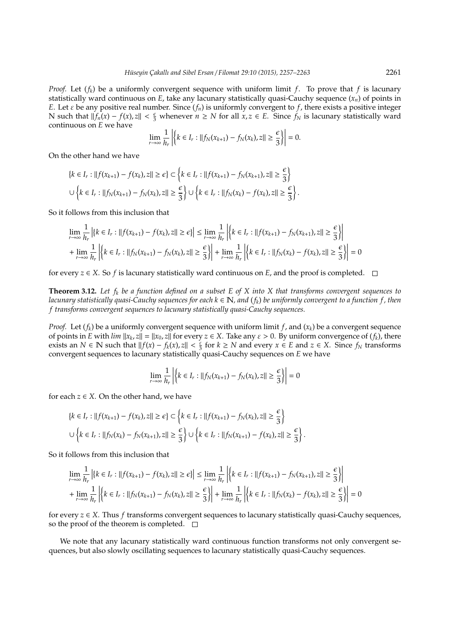*Proof.* Let (*fk*) be a uniformly convergent sequence with uniform limit *f*. To prove that *f* is lacunary statistically ward continuous on *E*, take any lacunary statistically quasi-Cauchy sequence  $(x_n)$  of points in *E*. Let  $\varepsilon$  be any positive real number. Since  $(f_n)$  is uniformly convergent to  $f$ , there exists a positive integer N such that  $||f_n(x) - f(x), z|| < \frac{\epsilon}{3}$  whenever *n* ≥ *N* for all  $x, z \in E$ . Since  $f_N$  is lacunary statistically ward continuous on *E* we have

$$
\lim_{r\to\infty}\frac{1}{h_r}\left|\left\{k\in I_r:\|f_N(x_{k+1})-f_N(x_k),z\|\geq \frac{\epsilon}{3}\right\}\right|=0.
$$

On the other hand we have

$$
\{k \in I_r : ||f(x_{k+1}) - f(x_k), z|| \ge \epsilon\} \subset \{k \in I_r : ||f(x_{k+1}) - f_N(x_{k+1}), z|| \ge \frac{\epsilon}{3}\}
$$
  

$$
\cup \{\kappa \in I_r : ||f_N(x_{k+1}) - f_N(x_k), z|| \ge \frac{\epsilon}{3}\} \cup \{\kappa \in I_r : ||f_N(x_k) - f(x_k), z|| \ge \frac{\epsilon}{3}\}.
$$

So it follows from this inclusion that

$$
\lim_{r \to \infty} \frac{1}{h_r} \left| \{ k \in I_r : \| f(x_{k+1}) - f(x_k), z \| \ge \epsilon \} \right| \le \lim_{r \to \infty} \frac{1}{h_r} \left| \{ k \in I_r : \| f(x_{k+1}) - f_N(x_{k+1}), z \| \ge \frac{\epsilon}{3} \} \right|
$$
\n
$$
+ \lim_{r \to \infty} \frac{1}{h_r} \left| \{ k \in I_r : \| f_N(x_{k+1}) - f_N(x_k), z \| \ge \frac{\epsilon}{3} \} \right| + \lim_{r \to \infty} \frac{1}{h_r} \left| \{ k \in I_r : \| f_N(x_k) - f(x_k), z \| \ge \frac{\epsilon}{3} \} \right| = 0
$$

for every  $z \in X$ . So *f* is lacunary statistically ward continuous on *E*, and the proof is completed.  $\Box$ 

**Theorem 3.12.** *Let f<sup>k</sup> be a function defined on a subset E of X into X that transforms convergent sequences to lacunary statistically quasi-Cauchy sequences for each k* ∈ N*, and* (*fk*) *be uniformly convergent to a function f , then f transforms convergent sequences to lacunary statistically quasi-Cauchy sequences.*

*Proof.* Let  $(f_k)$  be a uniformly convergent sequence with uniform limit  $f$ , and  $(x_k)$  be a convergent sequence of points in *E* with  $\lim ||x_k, z|| = ||x_0, z||$  for every  $z \in X$ . Take any  $\varepsilon > 0$ . By uniform convergence of  $(f_k)$ , there exists an *N* ∈ **N** such that  $||f(x) - f_k(x), z|| < \frac{\varepsilon}{3}$  for  $k ≥ N$  and every  $x ∈ E$  and  $z ∈ X$ . Since  $f_N$  transforms convergent sequences to lacunary statistically quasi-Cauchy sequences on *E* we have

$$
\lim_{r \to \infty} \frac{1}{h_r} \left| \left\{ k \in I_r : ||f_N(x_{k+1}) - f_N(x_k), z|| \ge \frac{\epsilon}{3} \right\} \right| = 0
$$

for each  $z \in X$ . On the other hand, we have

$$
\{k \in I_r : ||f(x_{k+1}) - f(x_k), z|| \ge \epsilon\} \subset \left\{k \in I_r : ||f(x_{k+1}) - f_N(x_k), z|| \ge \frac{\epsilon}{3}\right\}
$$
  

$$
\cup \left\{k \in I_r : ||f_N(x_k) - f_N(x_{k+1}), z|| \ge \frac{\epsilon}{3}\right\} \cup \left\{k \in I_r : ||f_N(x_{k+1}) - f(x_k), z|| \ge \frac{\epsilon}{3}\right\}.
$$

So it follows from this inclusion that

$$
\lim_{r \to \infty} \frac{1}{h_r} \left| \{ k \in I_r : \| f(x_{k+1}) - f(x_k), z \| \ge \epsilon \} \right| \le \lim_{r \to \infty} \frac{1}{h_r} \left| \{ k \in I_r : \| f(x_{k+1}) - f_N(x_{k+1}), z \| \ge \frac{\epsilon}{3} \} \right|
$$
\n
$$
+ \lim_{r \to \infty} \frac{1}{h_r} \left| \{ k \in I_r : \| f_N(x_{k+1}) - f_N(x_k), z \| \ge \frac{\epsilon}{3} \} \right| + \lim_{r \to \infty} \frac{1}{h_r} \left| \{ k \in I_r : \| f_N(x_k) - f(x_k), z \| \ge \frac{\epsilon}{3} \} \right| = 0
$$

for every *z* ∈ *X*. Thus *f* transforms convergent sequences to lacunary statistically quasi-Cauchy sequences, so the proof of the theorem is completed.  $\square$ 

We note that any lacunary statistically ward continuous function transforms not only convergent sequences, but also slowly oscillating sequences to lacunary statistically quasi-Cauchy sequences.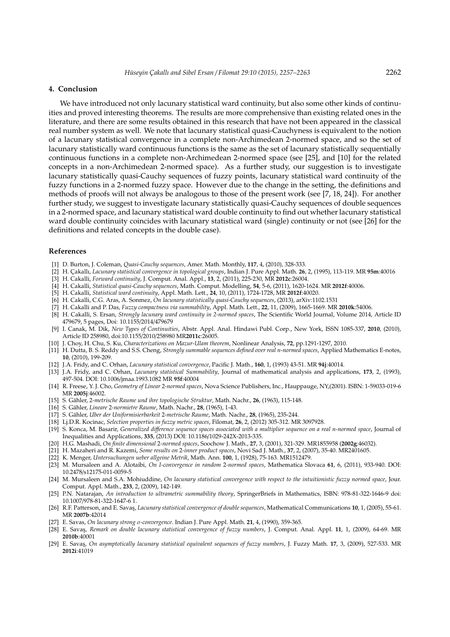#### **4. Conclusion**

We have introduced not only lacunary statistical ward continuity, but also some other kinds of continuities and proved interesting theorems. The results are more comprehensive than existing related ones in the literature, and there are some results obtained in this research that have not been appeared in the classical real number system as well. We note that lacunary statistical quasi-Cauchyness is equivalent to the notion of a lacunary statistical convergence in a complete non-Archimedean 2-normed space, and so the set of lacunary statistically ward continuous functions is the same as the set of lacunary statistically sequentially continuous functions in a complete non-Archimedean 2-normed space (see [25], and [10] for the related concepts in a non-Archimedean 2-normed space). As a further study, our suggestion is to investigate lacunary statistically quasi-Cauchy sequences of fuzzy points, lacunary statistical ward continuity of the fuzzy functions in a 2-normed fuzzy space. However due to the change in the setting, the definitions and methods of proofs will not always be analogous to those of the present work (see [7, 18, 24]). For another further study, we suggest to investigate lacunary statistically quasi-Cauchy sequences of double sequences in a 2-normed space, and lacunary statistical ward double continuity to find out whether lacunary statistical ward double continuity coincides with lacunary statistical ward (single) continuity or not (see [26] for the definitions and related concepts in the double case).

## **References**

- [1] D. Burton, J. Coleman, *Quasi-Cauchy sequences*, Amer. Math. Monthly, **117**, 4, (2010), 328-333.
- [2] H. C¸ akallı, *Lacunary statistical convergence in topological groups*, Indian J. Pure Appl. Math. **26**, 2, (1995), 113-119. MR **95m**:40016
- [3] H. Cakalli, *Forward continuity*, J. Comput. Anal. Appl., **13**, 2, (2011), 225-230, MR **2012c**:26004.
- [4] H. Cakalli, *Statistical quasi-Cauchy sequences*, Math. Comput. Modelling, **54**, 5-6, (2011), 1620-1624. MR **2012f**:40006.
- [5] H. Cakalli, *Statistical ward continuity*, Appl. Math. Lett., **24**, 10, (2011), 1724-1728, MR **2012f**:40020.
- [6] H. Cakalli, C.G. Aras, A. Sonmez, *On lacunary statistically quasi-Cauchy sequences*, (2013), arXiv:1102.1531
- [7] H. Cakalli and P. Das, *Fuzzy compactness via summability*, Appl. Math. Lett., **22**, 11, (2009), 1665-1669. MR **2010k**:54006.
- [8] H. Cakalli, S. Ersan, *Strongly lacunary ward continuity in 2-normed spaces*, The Scientific World Journal, Volume 2014, Article ID 479679, 5 pages, Doi: 10.1155/2014/479679
- [9] I. Canak, M. Dik, *New Types of Continuities*, Abstr. Appl. Anal. Hindawi Publ. Corp., New York, ISSN 1085-337, **2010**, (2010), Article ID 258980, doi:10.1155/2010/258980 MR**2011c**:26005.
- [10] J. Choy, H. Chu, S. Ku, *Characterizations on Mazur-Ulam theorem*, Nonlinear Analysis, **72**, pp.1291-1297, 2010.
- [11] H. Dutta, B. S. Reddy and S.S. Cheng, *Strongly summable sequences defined over real n-normed spaces*, Applied Mathematics E-notes, **10**, (2010), 199-209.
- [12] J.A. Fridy, and C. Orhan, *Lacunary statistical convergence*, Pacific J. Math., **160**, 1, (1993) 43-51. MR **94j**:40014.
- [13] J.A. Fridy, and C. Orhan, *Lacunary statistical Summability*, Journal of mathematical analysis and applications, **173**, 2, (1993), 497-504. DOI: 10.1006/jmaa.1993.1082 MR **95f**:40004
- [14] R. Freese, Y. J. Cho, *Geometry of Linear* 2*-normed spaces*, Nova Science Publishers, Inc., Hauppauge, NY,(2001). ISBN: 1-59033-019-6 MR **2005j**:46002.
- [15] S. Gähler, 2-metrische Raume und ihre topologische Struktur, Math. Nachr., 26, (1963), 115-148.
- [16] S. Gähler, *Lineare* 2-normietre Raume, Math. Nachr., 28, (1965), 1-43.
- [17] S. Gahler, ¨ *Uber der Uniformisierbarkeit* 2*-metrische Raume*, Math. Nachr., **28**, (1965), 235-244.
- [18] Lj.D.R. Kocinac, *Selection properties in fuzzy metric spaces*, Filomat, **26**, 2, (2012) 305-312. MR 3097928.
- [19] S. Konca, M. Basarir, *Generalized di*ff*erence sequence spaces associated with a multiplier sequence on a real n-normed space*, Journal of Inequalities and Applications, **335**, (2013) DOI: 10.1186/1029-242X-2013-335.
- [20] H.G. Mashadi, *On finite dimensional* 2*-normed spaces*, Soochow J. Math., **27**, 3, (2001), 321-329. MR1855958 (**2002g**:46032).
- [21] H. Mazaheri and R. Kazemi, *Some results on* 2*-inner product spaces*, Novi Sad J. Math., **37**, 2, (2007), 35-40. MR2401605.
- [22] K. Menger, *Untersuchungen ueber allgeine Metrik*, Math. Ann. **100**, 1, (1928), 75-163. MR1512479.
- [23] M. Mursaleen and A. Alotaibi, *On I-convergence in random* 2*-normed spaces*, Mathematica Slovaca **61**, 6, (2011), 933-940. DOI: 10.2478/s12175-011-0059-5
- [24] M. Mursaleen and S.A. Mohiuddine, *On lacunary statistical convergence with respect to the intuitionistic fuzzy normed space*, Jour. Comput. Appl. Math., **233**, 2, (2009), 142-149.
- [25] P.N. Natarajan, *An introduction to ultrametric summability theory*, SpringerBriefs in Mathematics, ISBN: 978-81-322-1646-9 doi: 10.1007/978-81-322-1647-6 1.
- [26] R.F. Patterson, and E. Savas¸, *Lacunary statistical convergence of double sequences*, Mathematical Communications **10**, 1, (2005), 55-61. MR **2007b**:42014
- [27] E. Savas, *On lacunary strong* σ*-convergence*. Indian J. Pure Appl. Math. **21**, 4, (1990), 359-365.
- [28] E. Savas¸, *Remark on double lacunary statistical convergence of fuzzy numbers*, J. Comput. Anal. Appl. **11**, 1, (2009), 64-69. MR **2010b**:40001
- [29] E. Savas, *On asymptotically lacunary statistical equivalent sequences of fuzzy numbers*, J. Fuzzy Math. 17, 3, (2009), 527-533. MR **2012i**:41019